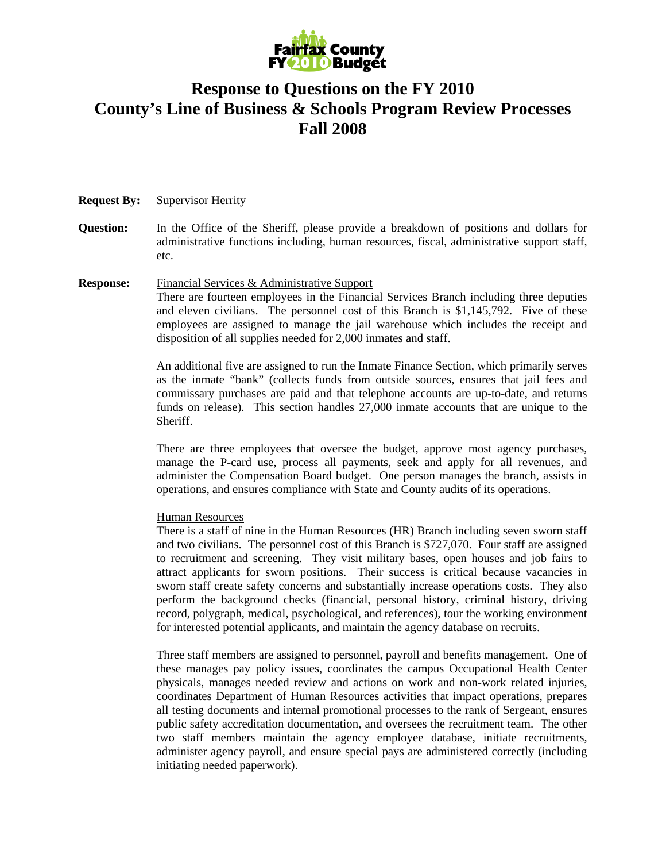

## **Response to Questions on the FY 2010 County's Line of Business & Schools Program Review Processes Fall 2008**

## **Request By:** Supervisor Herrity

- **Question:** In the Office of the Sheriff, please provide a breakdown of positions and dollars for administrative functions including, human resources, fiscal, administrative support staff, etc.
- **Response:** Financial Services & Administrative Support There are fourteen employees in the Financial Services Branch including three deputies and eleven civilians. The personnel cost of this Branch is \$1,145,792. Five of these employees are assigned to manage the jail warehouse which includes the receipt and disposition of all supplies needed for 2,000 inmates and staff.

An additional five are assigned to run the Inmate Finance Section, which primarily serves as the inmate "bank" (collects funds from outside sources, ensures that jail fees and commissary purchases are paid and that telephone accounts are up-to-date, and returns funds on release). This section handles 27,000 inmate accounts that are unique to the Sheriff.

There are three employees that oversee the budget, approve most agency purchases, manage the P-card use, process all payments, seek and apply for all revenues, and administer the Compensation Board budget. One person manages the branch, assists in operations, and ensures compliance with State and County audits of its operations.

## Human Resources

There is a staff of nine in the Human Resources (HR) Branch including seven sworn staff and two civilians. The personnel cost of this Branch is \$727,070. Four staff are assigned to recruitment and screening. They visit military bases, open houses and job fairs to attract applicants for sworn positions. Their success is critical because vacancies in sworn staff create safety concerns and substantially increase operations costs. They also perform the background checks (financial, personal history, criminal history, driving record, polygraph, medical, psychological, and references), tour the working environment for interested potential applicants, and maintain the agency database on recruits.

Three staff members are assigned to personnel, payroll and benefits management. One of these manages pay policy issues, coordinates the campus Occupational Health Center physicals, manages needed review and actions on work and non-work related injuries, coordinates Department of Human Resources activities that impact operations, prepares all testing documents and internal promotional processes to the rank of Sergeant, ensures public safety accreditation documentation, and oversees the recruitment team. The other two staff members maintain the agency employee database, initiate recruitments, administer agency payroll, and ensure special pays are administered correctly (including initiating needed paperwork).